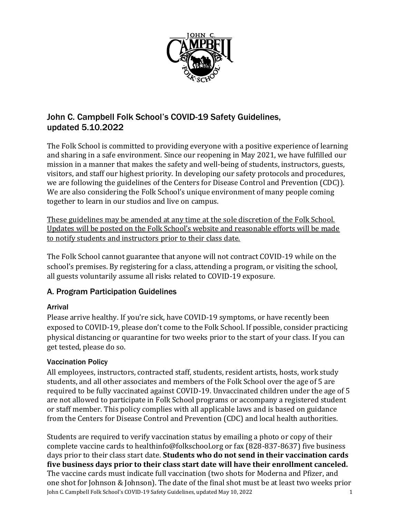

# John C. Campbell Folk School's COVID-19 Safety Guidelines, updated 5.10.2022

The Folk School is committed to providing everyone with a positive experience of learning and sharing in a safe environment. Since our reopening in May 2021, we have fulfilled our mission in a manner that makes the safety and well-being of students, instructors, guests, visitors, and staff our highest priority. In developing our safety protocols and procedures, we are following the guidelines of the [Centers for Disease Control and Prevention \(CDC\)\)](https://www.cdc.gov/coronavirus/2019-ncov/your-health/need-to-know.html). We are also considering the Folk School's unique environment of many people coming together to learn in our studios and live on campus.

These guidelines may be amended at any time at the sole discretion of the Folk School. Updates will be posted on the Folk School's website and reasonable efforts will be made to notify students and instructors prior to their class date.

The Folk School cannot guarantee that anyone will not contract COVID-19 while on the school's premises. By registering for a class, attending a program, or visiting the school, all guests voluntarily assume all risks related to COVID-19 exposure.

## A. Program Participation Guidelines

## Arrival

Please arrive healthy. If you're sick, have COVID-19 symptoms, or have recently been exposed to COVID-19, please don't come to the Folk School. If possible, consider practicing physical distancing or quarantine for two weeks prior to the start of your class. If you can get tested, please do so.

### Vaccination Policy

All employees, instructors, contracted staff, students, resident artists, hosts, work study students, and all other associates and members of the Folk School over the age of 5 are required to be fully vaccinated against COVID-19. Unvaccinated children under the age of 5 are not allowed to participate in Folk School programs or accompany a registered student or staff member. This policy complies with all applicable laws and is based on guidance from the Centers for Disease Control and Prevention (CDC) and local health authorities.

John C. Campbell Folk School's COVID-19 Safety Guidelines, updated May 10, 2022 Students are required to verify vaccination status by emailing a photo or copy of their complete vaccine cards to healthinfo@folkschool.org or fax (828-837-8637) five business days prior to their class start date. **Students who do not send in their vaccination cards five business days prior to their class start date will have their enrollment canceled.** The vaccine cards must indicate full vaccination (two shots for Moderna and Pfizer, and one shot for Johnson & Johnson). The date of the final shot must be at least two weeks prior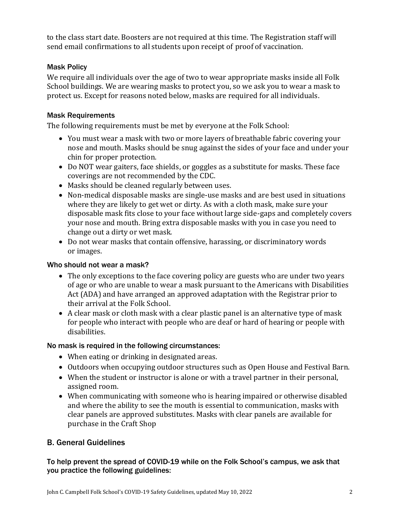to the class start date. Boosters are not required at this time. The Registration staff will send email confirmations to all students upon receipt of proof of vaccination.

### Mask Policy

We require all individuals over the age of two to wear appropriate masks inside all Folk School buildings. We are wearing masks to protect you, so we ask you to wear a mask to protect us. Except for reasons noted below, masks are required for all individuals.

### Mask Requirements

The following requirements must be met by everyone at the Folk School:

- You must wear a mask with two or more layers of breathable fabric covering your nose and mouth. Masks should be snug against the sides of your face and under your chin for proper protection.
- Do NOT wear gaiters, face shields, or goggles as a substitute for masks. These face coverings are not recommended by the CDC.
- Masks should be cleaned regularly between uses.
- Non-medical disposable masks are single-use masks and are best used in situations where they are likely to get wet or dirty. As with a cloth mask, make sure your disposable mask fits close to your face without large side-gaps and completely covers your nose and mouth. Bring extra disposable masks with you in case you need to change out a dirty or wet mask.
- Do not wear masks that contain offensive, harassing, or discriminatory words or images.

### Who should not wear a mask?

- The only exceptions to the face covering policy are guests who are under two years of age or who are unable to wear a mask pursuant to the Americans with Disabilities Act (ADA) and have arranged an approved adaptation with the Registrar prior to their arrival at the Folk School.
- A clear mask or cloth mask with a clear plastic panel is an alternative type of mask for people who interact with people who are deaf or hard of hearing or people with disabilities.

### No mask is required in the following circumstances:

- When eating or drinking in designated areas.
- Outdoors when occupying outdoor structures such as Open House and Festival Barn.
- When the student or instructor is alone or with a travel partner in their personal, assigned room.
- When communicating with someone who is hearing impaired or otherwise disabled and where the ability to see the mouth is essential to communication, masks with clear panels are approved substitutes. Masks with clear panels are available for purchase in the Craft Shop

### B. General Guidelines

To help prevent the spread of COVID-19 while on the Folk School's campus, we ask that you practice the following guidelines: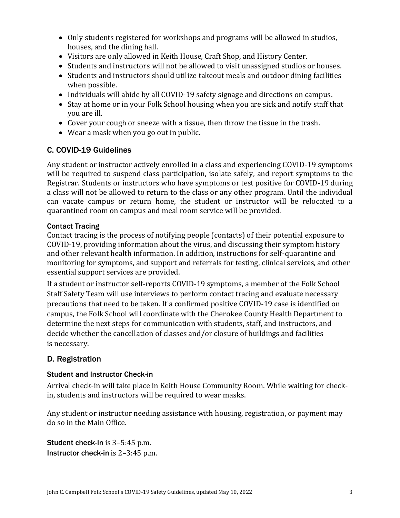- Only students registered for workshops and programs will be allowed in studios, houses, and the dining hall.
- Visitors are only allowed in Keith House, Craft Shop, and History Center.
- Students and instructors will not be allowed to visit unassigned studios or houses.
- Students and instructors should utilize takeout meals and outdoor dining facilities when possible.
- Individuals will abide by all COVID-19 safety signage and directions on campus.
- Stay at home or in your Folk School housing when you are sick and notify staff that you are ill.
- Cover your cough or sneeze with a tissue, then throw the tissue in the trash.
- Wear a [mask](https://www.cdc.gov/coronavirus/2019-ncov/prevent-getting-sick/about-face-coverings.html) when you go out in public.

## C. COVID-19 Guidelines

Any student or instructor actively enrolled in a class and experiencing COVID-19 symptoms will be required to suspend class participation, isolate safely, and report symptoms to the Registrar. Students or instructors who have symptoms or test positive for COVID-19 during a class will not be allowed to return to the class or any other program. Until the individual can vacate campus or return home, the student or instructor will be relocated to a quarantined room on campus and meal room service will be provided.

### Contact Tracing

Contact tracing is the process of notifying people (contacts) of their potential exposure to COVID-19, providing information about the virus, and discussing their symptom history and other relevant health information. In addition, instructions for self-quarantine and monitoring for symptoms, and support and referrals for testing, clinical services, and other essential support services are provided.

If a student or instructor self-reports COVID-19 symptoms, a member of the Folk School Staff Safety Team will use interviews to perform contact tracing and evaluate necessary precautions that need to be taken. If a confirmed positive COVID-19 case is identified on campus, the Folk School will coordinate with the Cherokee County Health Department to determine the next steps for communication with students, staff, and instructors, and decide whether the cancellation of classes and/or closure of buildings and facilities is necessary.

## D. Registration

### Student and Instructor Check-in

Arrival check-in will take place in Keith House Community Room. While waiting for checkin, students and instructors will be required to wear masks.

Any student or instructor needing assistance with housing, registration, or payment may do so in the Main Office.

Student check-in is 3–5:45 p.m. Instructor check-in is 2–3:45 p.m.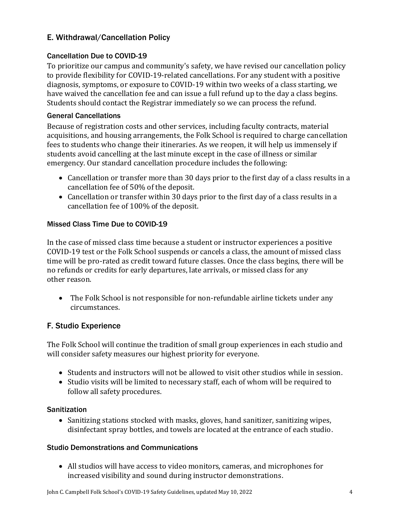## E. Withdrawal/Cancellation Policy

#### Cancellation Due to COVID-19

To prioritize our campus and community's safety, we have revised our cancellation policy to provide flexibility for COVID-19-related cancellations. For any student with a positive diagnosis, symptoms, or exposure to COVID-19 within two weeks of a class starting, we have waived the cancellation fee and can issue a full refund up to the day a class begins. Students should contact the Registrar immediately so we can process the refund.

#### General Cancellations

Because of registration costs and other services, including faculty contracts, material acquisitions, and housing arrangements, the Folk School is required to charge cancellation fees to students who change their itineraries. As we reopen, it will help us immensely if students avoid cancelling at the last minute except in the case of illness or similar emergency. Our standard cancellation procedure includes the following:

- Cancellation or transfer more than 30 days prior to the first day of a class results in a cancellation fee of 50% of the deposit.
- Cancellation or transfer within 30 days prior to the first day of a class results in a cancellation fee of 100% of the deposit.

### Missed Class Time Due to COVID-19

In the case of missed class time because a student or instructor experiences a positive COVID-19 test or the Folk School suspends or cancels a class, the amount of missed class time will be pro-rated as credit toward future classes. Once the class begins, there will be no refunds or credits for early departures, late arrivals, or missed class for any other reason.

• The Folk School is not responsible for non-refundable airline tickets under any circumstances.

### F. Studio Experience

The Folk School will continue the tradition of small group experiences in each studio and will consider safety measures our highest priority for everyone.

- Students and instructors will not be allowed to visit other studios while in session.
- Studio visits will be limited to necessary staff, each of whom will be required to follow all safety procedures.

#### **Sanitization**

• Sanitizing stations stocked with masks, gloves, hand sanitizer, sanitizing wipes, disinfectant spray bottles, and towels are located at the entrance of each studio.

#### Studio Demonstrations and Communications

• All studios will have access to video monitors, cameras, and microphones for increased visibility and sound during instructor demonstrations.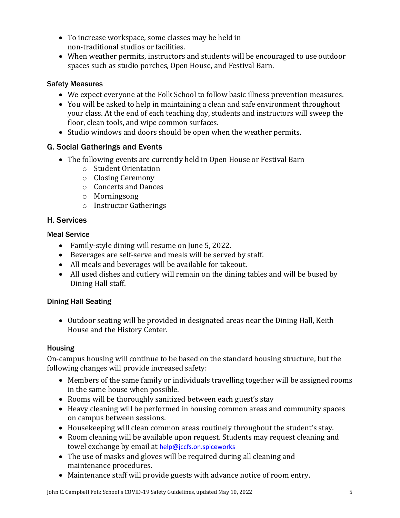- To increase workspace, some classes may be held in non-traditional studios or facilities.
- When weather permits, instructors and students will be encouraged to use outdoor spaces such as studio porches, Open House, and Festival Barn.

### Safety Measures

- We expect everyone at the Folk School to follow basic illness prevention measures.
- You will be asked to help in maintaining a clean and safe environment throughout your class. At the end of each teaching day, students and instructors will sweep the floor, clean tools, and wipe common surfaces.
- Studio windows and doors should be open when the weather permits.

## G. Social Gatherings and Events

- The following events are currently held in Open House or Festival Barn
	- o Student Orientation
	- o Closing Ceremony
	- o Concerts and Dances
	- o Morningsong
	- o Instructor Gatherings

## H. Services

## Meal Service

- Family-style dining will resume on June 5, 2022.
- Beverages are self-serve and meals will be served by staff.
- All meals and beverages will be available for takeout.
- All used dishes and cutlery will remain on the dining tables and will be bused by Dining Hall staff.

## Dining Hall Seating

• Outdoor seating will be provided in designated areas near the Dining Hall, Keith House and the History Center.

## Housing

On-campus housing will continue to be based on the standard housing structure, but the following changes will provide increased safety:

- Members of the same family or individuals travelling together will be assigned rooms in the same house when possible.
- Rooms will be thoroughly sanitized between each guest's stay
- Heavy cleaning will be performed in housing common areas and community spaces on campus between sessions.
- Housekeeping will clean common areas routinely throughout the student's stay.
- Room cleaning will be available upon request. Students may request cleaning and towel exchange by email at [help@jccfs.on.spiceworks](mailto:help@jccfs.on.spiceworks)
- The use of masks and gloves will be required during all cleaning and maintenance procedures.
- Maintenance staff will provide guests with advance notice of room entry.